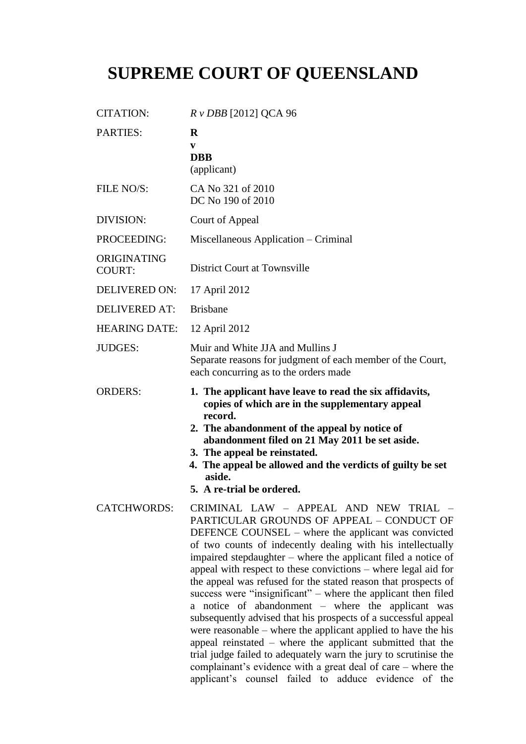# **SUPREME COURT OF QUEENSLAND**

| <b>CITATION:</b>             | $R v DBB$ [2012] QCA 96                                                                                                                                                                                                                                                                                                                                                                                                                                                                                                                                                                                                                                                                                                                                                                                                                                                                                                            |
|------------------------------|------------------------------------------------------------------------------------------------------------------------------------------------------------------------------------------------------------------------------------------------------------------------------------------------------------------------------------------------------------------------------------------------------------------------------------------------------------------------------------------------------------------------------------------------------------------------------------------------------------------------------------------------------------------------------------------------------------------------------------------------------------------------------------------------------------------------------------------------------------------------------------------------------------------------------------|
| PARTIES:                     | $\bf{R}$<br>V<br><b>DBB</b><br>(applicant)                                                                                                                                                                                                                                                                                                                                                                                                                                                                                                                                                                                                                                                                                                                                                                                                                                                                                         |
| FILE NO/S:                   | CA No 321 of 2010<br>DC No 190 of 2010                                                                                                                                                                                                                                                                                                                                                                                                                                                                                                                                                                                                                                                                                                                                                                                                                                                                                             |
| DIVISION:                    | Court of Appeal                                                                                                                                                                                                                                                                                                                                                                                                                                                                                                                                                                                                                                                                                                                                                                                                                                                                                                                    |
| PROCEEDING:                  | Miscellaneous Application – Criminal                                                                                                                                                                                                                                                                                                                                                                                                                                                                                                                                                                                                                                                                                                                                                                                                                                                                                               |
| ORIGINATING<br><b>COURT:</b> | District Court at Townsville                                                                                                                                                                                                                                                                                                                                                                                                                                                                                                                                                                                                                                                                                                                                                                                                                                                                                                       |
| <b>DELIVERED ON:</b>         | 17 April 2012                                                                                                                                                                                                                                                                                                                                                                                                                                                                                                                                                                                                                                                                                                                                                                                                                                                                                                                      |
| <b>DELIVERED AT:</b>         | <b>Brisbane</b>                                                                                                                                                                                                                                                                                                                                                                                                                                                                                                                                                                                                                                                                                                                                                                                                                                                                                                                    |
| <b>HEARING DATE:</b>         | 12 April 2012                                                                                                                                                                                                                                                                                                                                                                                                                                                                                                                                                                                                                                                                                                                                                                                                                                                                                                                      |
| <b>JUDGES:</b>               | Muir and White JJA and Mullins J<br>Separate reasons for judgment of each member of the Court,<br>each concurring as to the orders made                                                                                                                                                                                                                                                                                                                                                                                                                                                                                                                                                                                                                                                                                                                                                                                            |
| <b>ORDERS:</b>               | 1. The applicant have leave to read the six affidavits,<br>copies of which are in the supplementary appeal<br>record.<br>2. The abandonment of the appeal by notice of<br>abandonment filed on 21 May 2011 be set aside.<br>3. The appeal be reinstated.<br>4. The appeal be allowed and the verdicts of guilty be set<br>aside.<br>5. A re-trial be ordered.                                                                                                                                                                                                                                                                                                                                                                                                                                                                                                                                                                      |
| <b>CATCHWORDS:</b>           | CRIMINAL LAW - APPEAL AND NEW TRIAL -<br>PARTICULAR GROUNDS OF APPEAL - CONDUCT OF<br>DEFENCE COUNSEL – where the applicant was convicted<br>of two counts of indecently dealing with his intellectually<br>impaired stepdaughter – where the applicant filed a notice of<br>appeal with respect to these convictions – where legal aid for<br>the appeal was refused for the stated reason that prospects of<br>success were "insignificant" – where the applicant then filed<br>a notice of abandonment - where the applicant was<br>subsequently advised that his prospects of a successful appeal<br>were reasonable $-$ where the applicant applied to have the his<br>appeal reinstated – where the applicant submitted that the<br>trial judge failed to adequately warn the jury to scrutinise the<br>complainant's evidence with a great deal of care – where the<br>applicant's counsel failed to adduce evidence of the |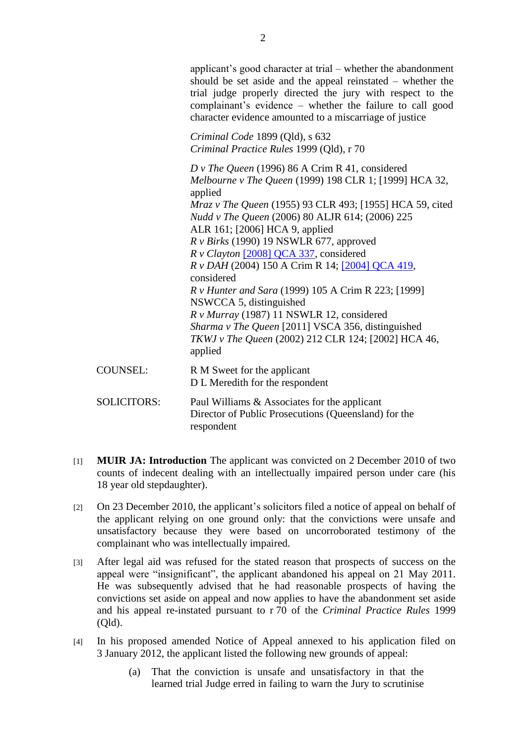applicant's good character at trial – whether the abandonment should be set aside and the appeal reinstated – whether the trial judge properly directed the jury with respect to the complainant's evidence – whether the failure to call good character evidence amounted to a miscarriage of justice

*Criminal Code* 1899 (Qld), s 632 *Criminal Practice Rules* 1999 (Qld), r 70

*D v The Queen* (1996) 86 A Crim R 41, considered *Melbourne v The Queen* (1999) 198 CLR 1; [1999] HCA 32, applied *Mraz v The Queen* (1955) 93 CLR 493; [1955] HCA 59, cited *Nudd v The Queen* (2006) 80 ALJR 614; (2006) 225 ALR 161; [2006] HCA 9, applied *R v Birks* (1990) 19 NSWLR 677, approved *R v Clayton* [2008] QCA 337, considered *R v DAH* (2004) 150 A Crim R 14; [2004] QCA 419, considered *R v Hunter and Sara* (1999) 105 A Crim R 223; [1999] NSWCCA 5, distinguished *R v Murray* (1987) 11 NSWLR 12, considered *Sharma v The Queen* [2011] VSCA 356, distinguished *TKWJ v The Queen* (2002) 212 CLR 124; [2002] HCA 46, applied COUNSEL: R M Sweet for the applicant D L Meredith for the respondent

| <b>SOLICITORS:</b> | Paul Williams & Associates for the applicant         |
|--------------------|------------------------------------------------------|
|                    | Director of Public Prosecutions (Queensland) for the |
|                    | respondent                                           |

- [1] **MUIR JA: Introduction** The applicant was convicted on 2 December 2010 of two counts of indecent dealing with an intellectually impaired person under care (his 18 year old stepdaughter).
- [2] On 23 December 2010, the applicant's solicitors filed a notice of appeal on behalf of the applicant relying on one ground only: that the convictions were unsafe and unsatisfactory because they were based on uncorroborated testimony of the complainant who was intellectually impaired.
- [3] After legal aid was refused for the stated reason that prospects of success on the appeal were "insignificant", the applicant abandoned his appeal on 21 May 2011. He was subsequently advised that he had reasonable prospects of having the convictions set aside on appeal and now applies to have the abandonment set aside and his appeal re-instated pursuant to r 70 of the *Criminal Practice Rules* 1999 (Qld).
- [4] In his proposed amended Notice of Appeal annexed to his application filed on 3 January 2012, the applicant listed the following new grounds of appeal:
	- (a) That the conviction is unsafe and unsatisfactory in that the learned trial Judge erred in failing to warn the Jury to scrutinise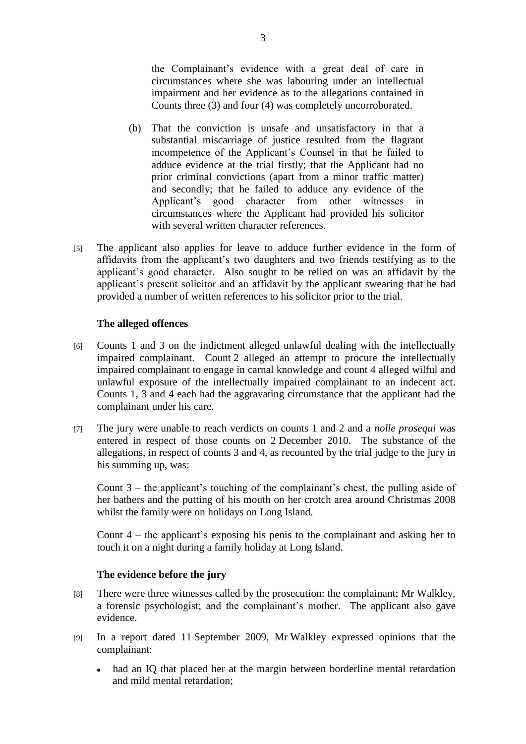the Complainant's evidence with a great deal of care in circumstances where she was labouring under an intellectual impairment and her evidence as to the allegations contained in Counts three (3) and four (4) was completely uncorroborated.

- (b) That the conviction is unsafe and unsatisfactory in that a substantial miscarriage of justice resulted from the flagrant incompetence of the Applicant's Counsel in that he failed to adduce evidence at the trial firstly; that the Applicant had no prior criminal convictions (apart from a minor traffic matter) and secondly; that he failed to adduce any evidence of the Applicant's good character from other witnesses in circumstances where the Applicant had provided his solicitor with several written character references.
- [5] The applicant also applies for leave to adduce further evidence in the form of affidavits from the applicant's two daughters and two friends testifying as to the applicant's good character. Also sought to be relied on was an affidavit by the applicant's present solicitor and an affidavit by the applicant swearing that he had provided a number of written references to his solicitor prior to the trial.

#### **The alleged offences**

- [6] Counts 1 and 3 on the indictment alleged unlawful dealing with the intellectually impaired complainant. Count 2 alleged an attempt to procure the intellectually impaired complainant to engage in carnal knowledge and count 4 alleged wilful and unlawful exposure of the intellectually impaired complainant to an indecent act. Counts 1, 3 and 4 each had the aggravating circumstance that the applicant had the complainant under his care.
- [7] The jury were unable to reach verdicts on counts 1 and 2 and a *nolle prosequi* was entered in respect of those counts on 2 December 2010. The substance of the allegations, in respect of counts 3 and 4, as recounted by the trial judge to the jury in his summing up, was:

Count 3 – the applicant's touching of the complainant's chest, the pulling aside of her bathers and the putting of his mouth on her crotch area around Christmas 2008 whilst the family were on holidays on Long Island.

Count 4 – the applicant's exposing his penis to the complainant and asking her to touch it on a night during a family holiday at Long Island.

#### **The evidence before the jury**

- [8] There were three witnesses called by the prosecution: the complainant; Mr Walkley, a forensic psychologist; and the complainant's mother. The applicant also gave evidence.
- [9] In a report dated 11 September 2009, Mr Walkley expressed opinions that the complainant:
	- had an IQ that placed her at the margin between borderline mental retardation and mild mental retardation;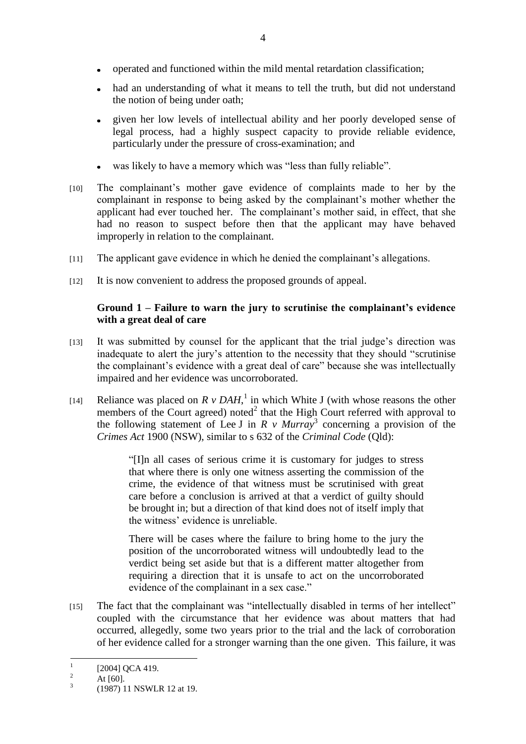- operated and functioned within the mild mental retardation classification;
- had an understanding of what it means to tell the truth, but did not understand the notion of being under oath;
- given her low levels of intellectual ability and her poorly developed sense of legal process, had a highly suspect capacity to provide reliable evidence, particularly under the pressure of cross-examination; and
- was likely to have a memory which was "less than fully reliable".
- [10] The complainant's mother gave evidence of complaints made to her by the complainant in response to being asked by the complainant's mother whether the applicant had ever touched her. The complainant's mother said, in effect, that she had no reason to suspect before then that the applicant may have behaved improperly in relation to the complainant.
- [11] The applicant gave evidence in which he denied the complainant's allegations.
- [12] It is now convenient to address the proposed grounds of appeal.

## **Ground 1 – Failure to warn the jury to scrutinise the complainant's evidence with a great deal of care**

- [13] It was submitted by counsel for the applicant that the trial judge's direction was inadequate to alert the jury's attention to the necessity that they should "scrutinise" the complainant's evidence with a great deal of care" because she was intellectually impaired and her evidence was uncorroborated.
- [14] Reliance was placed on  $R \vee DAH$ , in which White J (with whose reasons the other members of the Court agreed) noted $2$  that the High Court referred with approval to the following statement of Lee J in  $R \vee Murray^3$  concerning a provision of the *Crimes Act* 1900 (NSW), similar to s 632 of the *Criminal Code* (Qld):

―[I]n all cases of serious crime it is customary for judges to stress that where there is only one witness asserting the commission of the crime, the evidence of that witness must be scrutinised with great care before a conclusion is arrived at that a verdict of guilty should be brought in; but a direction of that kind does not of itself imply that the witness' evidence is unreliable.

There will be cases where the failure to bring home to the jury the position of the uncorroborated witness will undoubtedly lead to the verdict being set aside but that is a different matter altogether from requiring a direction that it is unsafe to act on the uncorroborated evidence of the complainant in a sex case."

[15] The fact that the complainant was "intellectually disabled in terms of her intellect" coupled with the circumstance that her evidence was about matters that had occurred, allegedly, some two years prior to the trial and the lack of corroboration of her evidence called for a stronger warning than the one given. This failure, it was

 $\frac{1}{1}$ [2004] QCA 419.

<sup>&</sup>lt;sup>2</sup> At [60]. 3

<sup>(1987) 11</sup> NSWLR 12 at 19.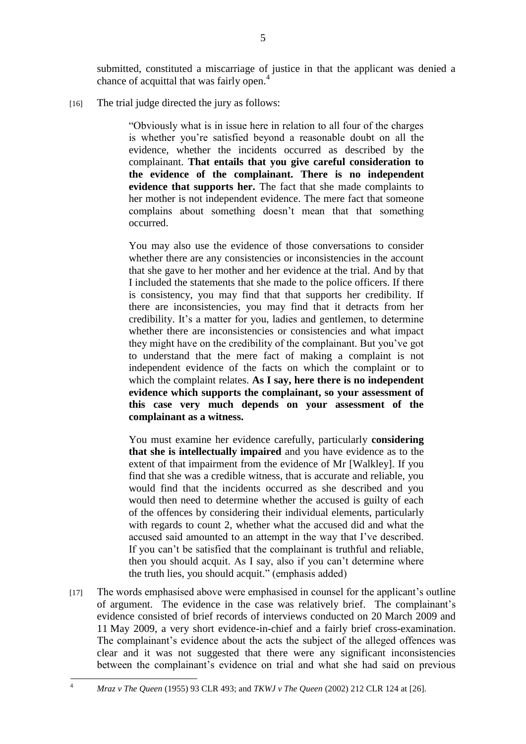submitted, constituted a miscarriage of justice in that the applicant was denied a chance of acquittal that was fairly open.<sup>4</sup>

[16] The trial judge directed the jury as follows:

―Obviously what is in issue here in relation to all four of the charges is whether you're satisfied beyond a reasonable doubt on all the evidence, whether the incidents occurred as described by the complainant. **That entails that you give careful consideration to the evidence of the complainant. There is no independent evidence that supports her.** The fact that she made complaints to her mother is not independent evidence. The mere fact that someone complains about something doesn't mean that that something occurred.

You may also use the evidence of those conversations to consider whether there are any consistencies or inconsistencies in the account that she gave to her mother and her evidence at the trial. And by that I included the statements that she made to the police officers. If there is consistency, you may find that that supports her credibility. If there are inconsistencies, you may find that it detracts from her credibility. It's a matter for you, ladies and gentlemen, to determine whether there are inconsistencies or consistencies and what impact they might have on the credibility of the complainant. But you've got to understand that the mere fact of making a complaint is not independent evidence of the facts on which the complaint or to which the complaint relates. **As I say, here there is no independent evidence which supports the complainant, so your assessment of this case very much depends on your assessment of the complainant as a witness.**

You must examine her evidence carefully, particularly **considering that she is intellectually impaired** and you have evidence as to the extent of that impairment from the evidence of Mr [Walkley]. If you find that she was a credible witness, that is accurate and reliable, you would find that the incidents occurred as she described and you would then need to determine whether the accused is guilty of each of the offences by considering their individual elements, particularly with regards to count 2, whether what the accused did and what the accused said amounted to an attempt in the way that I've described. If you can't be satisfied that the complainant is truthful and reliable, then you should acquit. As I say, also if you can't determine where the truth lies, you should acquit." (emphasis added)

[17] The words emphasised above were emphasised in counsel for the applicant's outline of argument. The evidence in the case was relatively brief. The complainant's evidence consisted of brief records of interviews conducted on 20 March 2009 and 11 May 2009, a very short evidence-in-chief and a fairly brief cross-examination. The complainant's evidence about the acts the subject of the alleged offences was clear and it was not suggested that there were any significant inconsistencies between the complainant's evidence on trial and what she had said on previous

 $\overline{4}$ 

<sup>4</sup> *Mraz v The Queen* (1955) 93 CLR 493; and *TKWJ v The Queen* (2002) 212 CLR 124 at [26].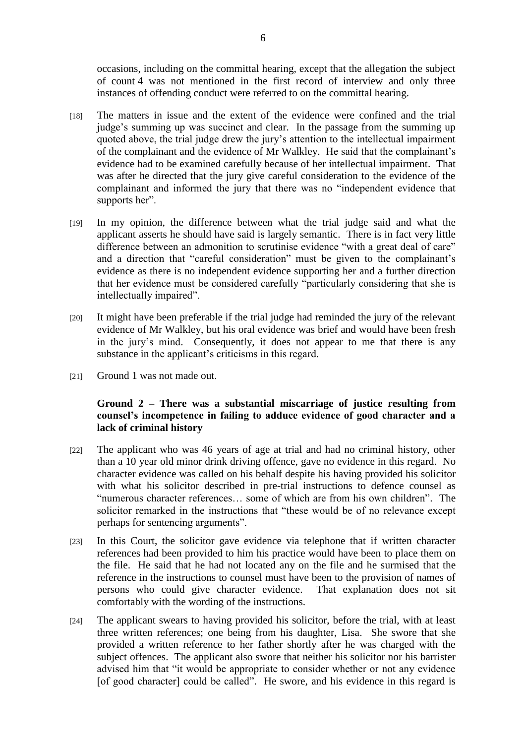occasions, including on the committal hearing, except that the allegation the subject of count 4 was not mentioned in the first record of interview and only three instances of offending conduct were referred to on the committal hearing.

- [18] The matters in issue and the extent of the evidence were confined and the trial judge's summing up was succinct and clear. In the passage from the summing up quoted above, the trial judge drew the jury's attention to the intellectual impairment of the complainant and the evidence of Mr Walkley. He said that the complainant's evidence had to be examined carefully because of her intellectual impairment. That was after he directed that the jury give careful consideration to the evidence of the complainant and informed the jury that there was no "independent evidence that supports her".
- [19] In my opinion, the difference between what the trial judge said and what the applicant asserts he should have said is largely semantic. There is in fact very little difference between an admonition to scrutinise evidence "with a great deal of care" and a direction that "careful consideration" must be given to the complainant's evidence as there is no independent evidence supporting her and a further direction that her evidence must be considered carefully "particularly considering that she is intellectually impaired".
- [20] It might have been preferable if the trial judge had reminded the jury of the relevant evidence of Mr Walkley, but his oral evidence was brief and would have been fresh in the jury's mind. Consequently, it does not appear to me that there is any substance in the applicant's criticisms in this regard.
- [21] Ground 1 was not made out.

## **Ground 2 – There was a substantial miscarriage of justice resulting from counsel's incompetence in failing to adduce evidence of good character and a lack of criminal history**

- [22] The applicant who was 46 years of age at trial and had no criminal history, other than a 10 year old minor drink driving offence, gave no evidence in this regard. No character evidence was called on his behalf despite his having provided his solicitor with what his solicitor described in pre-trial instructions to defence counsel as "numerous character references... some of which are from his own children". The solicitor remarked in the instructions that "these would be of no relevance except perhaps for sentencing arguments".
- [23] In this Court, the solicitor gave evidence via telephone that if written character references had been provided to him his practice would have been to place them on the file. He said that he had not located any on the file and he surmised that the reference in the instructions to counsel must have been to the provision of names of persons who could give character evidence. That explanation does not sit comfortably with the wording of the instructions.
- [24] The applicant swears to having provided his solicitor, before the trial, with at least three written references; one being from his daughter, Lisa. She swore that she provided a written reference to her father shortly after he was charged with the subject offences. The applicant also swore that neither his solicitor nor his barrister advised him that "it would be appropriate to consider whether or not any evidence [of good character] could be called". He swore, and his evidence in this regard is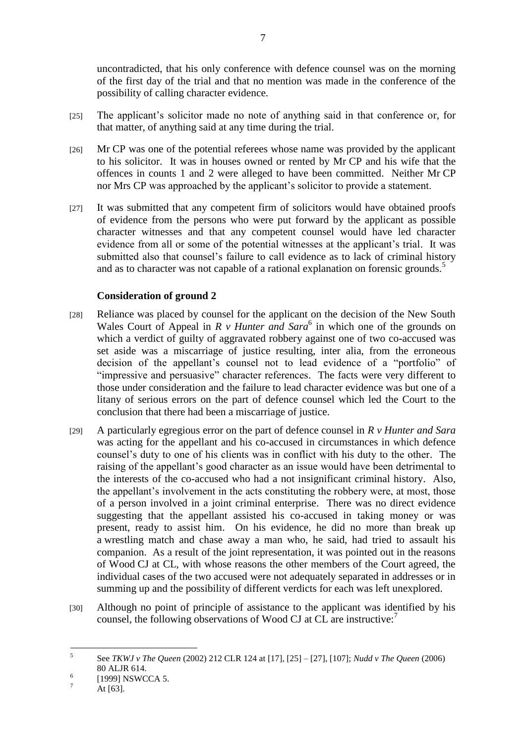uncontradicted, that his only conference with defence counsel was on the morning of the first day of the trial and that no mention was made in the conference of the possibility of calling character evidence.

- [25] The applicant's solicitor made no note of anything said in that conference or, for that matter, of anything said at any time during the trial.
- [26] Mr CP was one of the potential referees whose name was provided by the applicant to his solicitor. It was in houses owned or rented by Mr CP and his wife that the offences in counts 1 and 2 were alleged to have been committed. Neither Mr CP nor Mrs CP was approached by the applicant's solicitor to provide a statement.
- [27] It was submitted that any competent firm of solicitors would have obtained proofs of evidence from the persons who were put forward by the applicant as possible character witnesses and that any competent counsel would have led character evidence from all or some of the potential witnesses at the applicant's trial. It was submitted also that counsel's failure to call evidence as to lack of criminal history and as to character was not capable of a rational explanation on forensic grounds.<sup>5</sup>

## **Consideration of ground 2**

- [28] Reliance was placed by counsel for the applicant on the decision of the New South Wales Court of Appeal in  $R \vee H$ unter and Sara<sup>6</sup> in which one of the grounds on which a verdict of guilty of aggravated robbery against one of two co-accused was set aside was a miscarriage of justice resulting, inter alia, from the erroneous decision of the appellant's counsel not to lead evidence of a "portfolio" of "impressive and persuasive" character references. The facts were very different to those under consideration and the failure to lead character evidence was but one of a litany of serious errors on the part of defence counsel which led the Court to the conclusion that there had been a miscarriage of justice.
- [29] A particularly egregious error on the part of defence counsel in *R v Hunter and Sara* was acting for the appellant and his co-accused in circumstances in which defence counsel's duty to one of his clients was in conflict with his duty to the other. The raising of the appellant's good character as an issue would have been detrimental to the interests of the co-accused who had a not insignificant criminal history. Also, the appellant's involvement in the acts constituting the robbery were, at most, those of a person involved in a joint criminal enterprise. There was no direct evidence suggesting that the appellant assisted his co-accused in taking money or was present, ready to assist him. On his evidence, he did no more than break up a wrestling match and chase away a man who, he said, had tried to assault his companion. As a result of the joint representation, it was pointed out in the reasons of Wood CJ at CL, with whose reasons the other members of the Court agreed, the individual cases of the two accused were not adequately separated in addresses or in summing up and the possibility of different verdicts for each was left unexplored.
- [30] Although no point of principle of assistance to the applicant was identified by his counsel, the following observations of Wood CJ at CL are instructive:<sup>7</sup>

 $\frac{1}{5}$ See *TKWJ v The Queen* (2002) 212 CLR 124 at [17], [25] – [27], [107]; *Nudd v The Queen* (2006) 80 ALJR 614.

<sup>6</sup> [1999] NSWCCA 5.

 $^7$  At [63].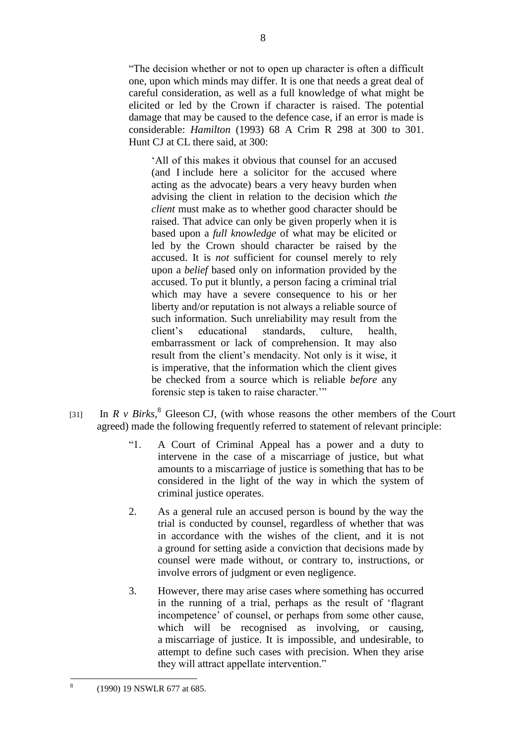―The decision whether or not to open up character is often a difficult one, upon which minds may differ. It is one that needs a great deal of careful consideration, as well as a full knowledge of what might be elicited or led by the Crown if character is raised. The potential damage that may be caused to the defence case, if an error is made is considerable: *Hamilton* (1993) 68 A Crim R 298 at 300 to 301. Hunt CJ at CL there said, at 300:

‗All of this makes it obvious that counsel for an accused (and I include here a solicitor for the accused where acting as the advocate) bears a very heavy burden when advising the client in relation to the decision which *the client* must make as to whether good character should be raised. That advice can only be given properly when it is based upon a *full knowledge* of what may be elicited or led by the Crown should character be raised by the accused. It is *not* sufficient for counsel merely to rely upon a *belief* based only on information provided by the accused. To put it bluntly, a person facing a criminal trial which may have a severe consequence to his or her liberty and/or reputation is not always a reliable source of such information. Such unreliability may result from the client's educational standards, culture, health, embarrassment or lack of comprehension. It may also result from the client's mendacity. Not only is it wise, it is imperative, that the information which the client gives be checked from a source which is reliable *before* any forensic step is taken to raise character."

- [31] In  $R \vee Birks$ <sup>8</sup> Gleeson CJ, (with whose reasons the other members of the Court agreed) made the following frequently referred to statement of relevant principle:
	- ―1. A Court of Criminal Appeal has a power and a duty to intervene in the case of a miscarriage of justice, but what amounts to a miscarriage of justice is something that has to be considered in the light of the way in which the system of criminal justice operates.
	- 2. As a general rule an accused person is bound by the way the trial is conducted by counsel, regardless of whether that was in accordance with the wishes of the client, and it is not a ground for setting aside a conviction that decisions made by counsel were made without, or contrary to, instructions, or involve errors of judgment or even negligence.
	- 3. However, there may arise cases where something has occurred in the running of a trial, perhaps as the result of 'flagrant incompetence' of counsel, or perhaps from some other cause, which will be recognised as involving, or causing, a miscarriage of justice. It is impossible, and undesirable, to attempt to define such cases with precision. When they arise they will attract appellate intervention."

 $\frac{1}{8}$ (1990) 19 NSWLR 677 at 685.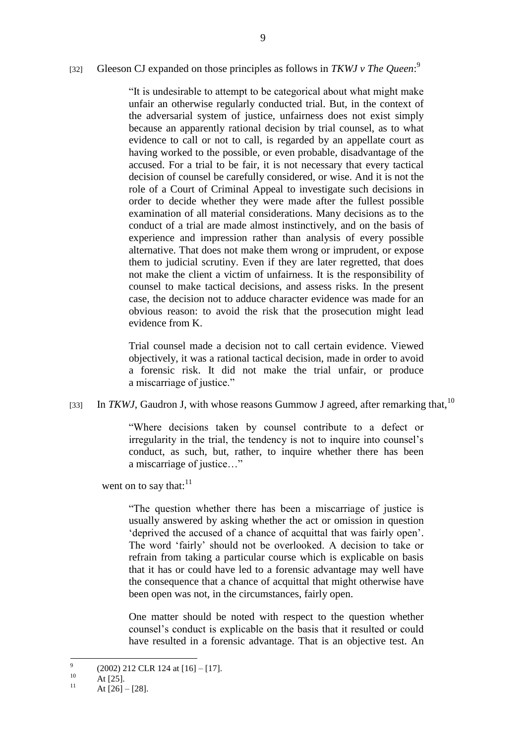## [32] Gleeson CJ expanded on those principles as follows in *TKWJ v The Queen*:<sup>9</sup>

―It is undesirable to attempt to be categorical about what might make unfair an otherwise regularly conducted trial. But, in the context of the adversarial system of justice, unfairness does not exist simply because an apparently rational decision by trial counsel, as to what evidence to call or not to call, is regarded by an appellate court as having worked to the possible, or even probable, disadvantage of the accused. For a trial to be fair, it is not necessary that every tactical decision of counsel be carefully considered, or wise. And it is not the role of a Court of Criminal Appeal to investigate such decisions in order to decide whether they were made after the fullest possible examination of all material considerations. Many decisions as to the conduct of a trial are made almost instinctively, and on the basis of experience and impression rather than analysis of every possible alternative. That does not make them wrong or imprudent, or expose them to judicial scrutiny. Even if they are later regretted, that does not make the client a victim of unfairness. It is the responsibility of counsel to make tactical decisions, and assess risks. In the present case, the decision not to adduce character evidence was made for an obvious reason: to avoid the risk that the prosecution might lead evidence from K.

Trial counsel made a decision not to call certain evidence. Viewed objectively, it was a rational tactical decision, made in order to avoid a forensic risk. It did not make the trial unfair, or produce a miscarriage of justice."

[33] In *TKWJ*, Gaudron J, with whose reasons Gummow J agreed, after remarking that,<sup>10</sup>

―Where decisions taken by counsel contribute to a defect or irregularity in the trial, the tendency is not to inquire into counsel's conduct, as such, but, rather, to inquire whether there has been a miscarriage of justice..."

went on to say that: $11$ 

―The question whether there has been a miscarriage of justice is usually answered by asking whether the act or omission in question deprived the accused of a chance of acquittal that was fairly open'. The word 'fairly' should not be overlooked. A decision to take or refrain from taking a particular course which is explicable on basis that it has or could have led to a forensic advantage may well have the consequence that a chance of acquittal that might otherwise have been open was not, in the circumstances, fairly open.

One matter should be noted with respect to the question whether counsel's conduct is explicable on the basis that it resulted or could have resulted in a forensic advantage. That is an objective test. An

<sup>–&</sup>lt;br>9 (2002) 212 CLR 124 at [16] – [17].

 $10$  At [25].

At  $[26] - [28]$ .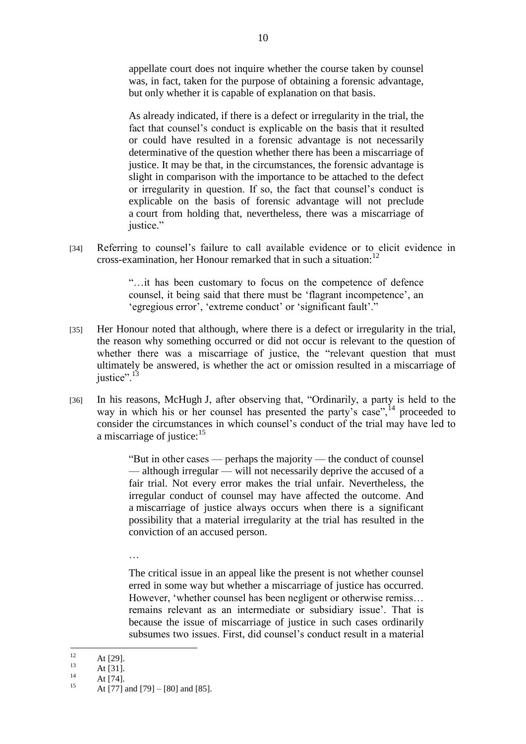appellate court does not inquire whether the course taken by counsel was, in fact, taken for the purpose of obtaining a forensic advantage, but only whether it is capable of explanation on that basis.

As already indicated, if there is a defect or irregularity in the trial, the fact that counsel's conduct is explicable on the basis that it resulted or could have resulted in a forensic advantage is not necessarily determinative of the question whether there has been a miscarriage of justice. It may be that, in the circumstances, the forensic advantage is slight in comparison with the importance to be attached to the defect or irregularity in question. If so, the fact that counsel's conduct is explicable on the basis of forensic advantage will not preclude a court from holding that, nevertheless, there was a miscarriage of justice."

[34] Referring to counsel's failure to call available evidence or to elicit evidence in cross-examination, her Honour remarked that in such a situation:  $12$ 

> ―…it has been customary to focus on the competence of defence counsel, it being said that there must be 'flagrant incompetence', an 'egregious error', 'extreme conduct' or 'significant fault'."

- [35] Her Honour noted that although, where there is a defect or irregularity in the trial, the reason why something occurred or did not occur is relevant to the question of whether there was a miscarriage of justice, the "relevant question that must ultimately be answered, is whether the act or omission resulted in a miscarriage of justice".<sup>13</sup>
- [36] In his reasons, McHugh J, after observing that, "Ordinarily, a party is held to the way in which his or her counsel has presented the party's case",  $^{14}$  proceeded to consider the circumstances in which counsel's conduct of the trial may have led to a miscarriage of justice:<sup>15</sup>

"But in other cases — perhaps the majority — the conduct of counsel — although irregular — will not necessarily deprive the accused of a fair trial. Not every error makes the trial unfair. Nevertheless, the irregular conduct of counsel may have affected the outcome. And a miscarriage of justice always occurs when there is a significant possibility that a material irregularity at the trial has resulted in the conviction of an accused person.

The critical issue in an appeal like the present is not whether counsel erred in some way but whether a miscarriage of justice has occurred. However, 'whether counsel has been negligent or otherwise remiss... remains relevant as an intermediate or subsidiary issue'. That is because the issue of miscarriage of justice in such cases ordinarily subsumes two issues. First, did counsel's conduct result in a material

…

 $12<sup>12</sup>$  $12$  At [29].

 $13$  At [31].

 $14$  At [74].

At [77] and [79] – [80] and [85].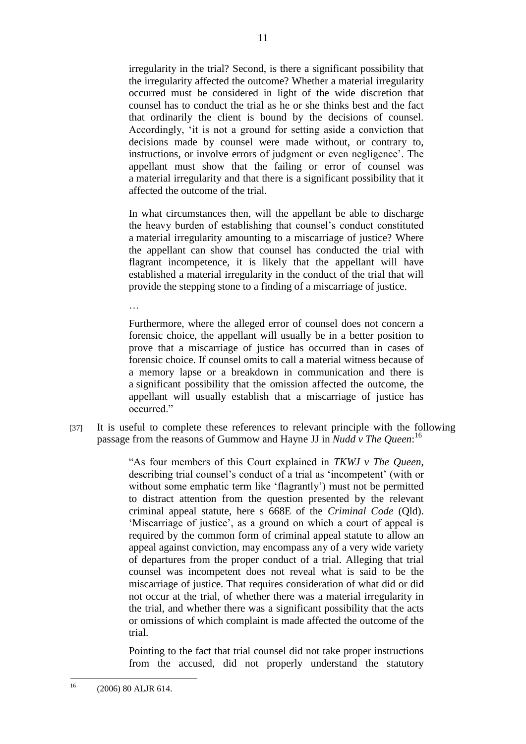irregularity in the trial? Second, is there a significant possibility that the irregularity affected the outcome? Whether a material irregularity occurred must be considered in light of the wide discretion that counsel has to conduct the trial as he or she thinks best and the fact that ordinarily the client is bound by the decisions of counsel. Accordingly, 'it is not a ground for setting aside a conviction that decisions made by counsel were made without, or contrary to, instructions, or involve errors of judgment or even negligence'. The appellant must show that the failing or error of counsel was a material irregularity and that there is a significant possibility that it affected the outcome of the trial.

In what circumstances then, will the appellant be able to discharge the heavy burden of establishing that counsel's conduct constituted a material irregularity amounting to a miscarriage of justice? Where the appellant can show that counsel has conducted the trial with flagrant incompetence, it is likely that the appellant will have established a material irregularity in the conduct of the trial that will provide the stepping stone to a finding of a miscarriage of justice.

Furthermore, where the alleged error of counsel does not concern a forensic choice, the appellant will usually be in a better position to prove that a miscarriage of justice has occurred than in cases of forensic choice. If counsel omits to call a material witness because of a memory lapse or a breakdown in communication and there is a significant possibility that the omission affected the outcome, the appellant will usually establish that a miscarriage of justice has occurred."

[37] It is useful to complete these references to relevant principle with the following passage from the reasons of Gummow and Hayne JJ in *Nudd v The Queen*: 16

> ―As four members of this Court explained in *TKWJ v The Queen*, describing trial counsel's conduct of a trial as 'incompetent' (with or without some emphatic term like 'flagrantly') must not be permitted to distract attention from the question presented by the relevant criminal appeal statute, here s 668E of the *Criminal Code* (Qld). ‗Miscarriage of justice', as a ground on which a court of appeal is required by the common form of criminal appeal statute to allow an appeal against conviction, may encompass any of a very wide variety of departures from the proper conduct of a trial. Alleging that trial counsel was incompetent does not reveal what is said to be the miscarriage of justice. That requires consideration of what did or did not occur at the trial, of whether there was a material irregularity in the trial, and whether there was a significant possibility that the acts or omissions of which complaint is made affected the outcome of the trial.

> Pointing to the fact that trial counsel did not take proper instructions from the accused, did not properly understand the statutory

…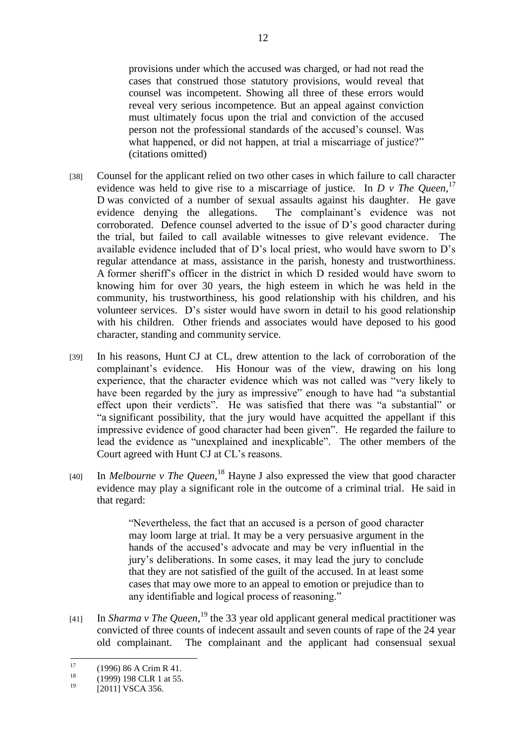provisions under which the accused was charged, or had not read the cases that construed those statutory provisions, would reveal that counsel was incompetent. Showing all three of these errors would reveal very serious incompetence. But an appeal against conviction must ultimately focus upon the trial and conviction of the accused person not the professional standards of the accused's counsel. Was what happened, or did not happen, at trial a miscarriage of justice?" (citations omitted)

- [38] Counsel for the applicant relied on two other cases in which failure to call character evidence was held to give rise to a miscarriage of justice. In *D v The Queen*,<sup>17</sup> D was convicted of a number of sexual assaults against his daughter. He gave evidence denying the allegations. The complainant's evidence was not corroborated. Defence counsel adverted to the issue of D's good character during the trial, but failed to call available witnesses to give relevant evidence. The available evidence included that of D's local priest, who would have sworn to D's regular attendance at mass, assistance in the parish, honesty and trustworthiness. A former sheriff's officer in the district in which D resided would have sworn to knowing him for over 30 years, the high esteem in which he was held in the community, his trustworthiness, his good relationship with his children, and his volunteer services. D's sister would have sworn in detail to his good relationship with his children. Other friends and associates would have deposed to his good character, standing and community service.
- [39] In his reasons, Hunt CJ at CL, drew attention to the lack of corroboration of the complainant's evidence. His Honour was of the view, drawing on his long experience, that the character evidence which was not called was "very likely to have been regarded by the jury as impressive" enough to have had "a substantial effect upon their verdicts". He was satisfied that there was "a substantial" or "a significant possibility, that the jury would have acquitted the appellant if this impressive evidence of good character had been given". He regarded the failure to lead the evidence as "unexplained and inexplicable". The other members of the Court agreed with Hunt CJ at CL's reasons.
- [40] In *Melbourne v The Queen*, <sup>18</sup> Hayne J also expressed the view that good character evidence may play a significant role in the outcome of a criminal trial. He said in that regard:

―Nevertheless, the fact that an accused is a person of good character may loom large at trial. It may be a very persuasive argument in the hands of the accused's advocate and may be very influential in the jury's deliberations. In some cases, it may lead the jury to conclude that they are not satisfied of the guilt of the accused. In at least some cases that may owe more to an appeal to emotion or prejudice than to any identifiable and logical process of reasoning."

[41] In *Sharma v The Queen*,<sup>19</sup> the 33 year old applicant general medical practitioner was convicted of three counts of indecent assault and seven counts of rape of the 24 year old complainant. The complainant and the applicant had consensual sexual

 $17$ <sup>17</sup> (1996) 86 A Crim R 41.

 $^{18}$  (1999) 198 CLR 1 at 55.

<sup>[2011]</sup> VSCA 356.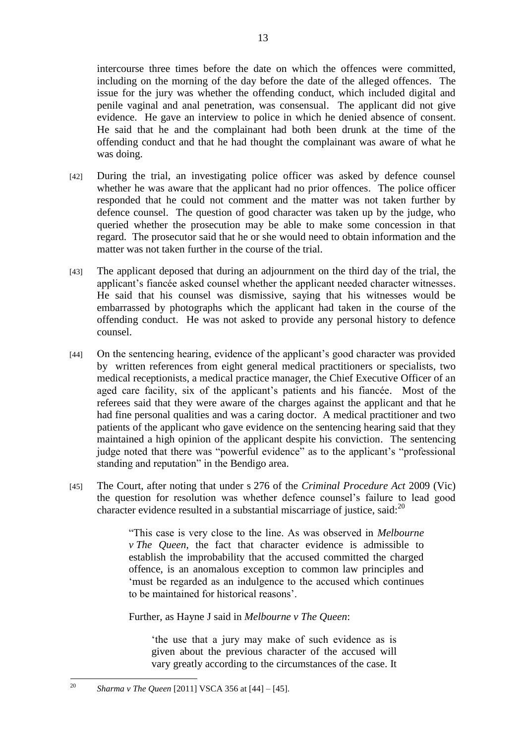intercourse three times before the date on which the offences were committed, including on the morning of the day before the date of the alleged offences. The issue for the jury was whether the offending conduct, which included digital and penile vaginal and anal penetration, was consensual. The applicant did not give evidence. He gave an interview to police in which he denied absence of consent. He said that he and the complainant had both been drunk at the time of the offending conduct and that he had thought the complainant was aware of what he was doing.

- [42] During the trial, an investigating police officer was asked by defence counsel whether he was aware that the applicant had no prior offences. The police officer responded that he could not comment and the matter was not taken further by defence counsel. The question of good character was taken up by the judge, who queried whether the prosecution may be able to make some concession in that regard. The prosecutor said that he or she would need to obtain information and the matter was not taken further in the course of the trial.
- [43] The applicant deposed that during an adjournment on the third day of the trial, the applicant's fiancée asked counsel whether the applicant needed character witnesses. He said that his counsel was dismissive, saying that his witnesses would be embarrassed by photographs which the applicant had taken in the course of the offending conduct. He was not asked to provide any personal history to defence counsel.
- [44] On the sentencing hearing, evidence of the applicant's good character was provided by written references from eight general medical practitioners or specialists, two medical receptionists, a medical practice manager, the Chief Executive Officer of an aged care facility, six of the applicant's patients and his fiancée. Most of the referees said that they were aware of the charges against the applicant and that he had fine personal qualities and was a caring doctor. A medical practitioner and two patients of the applicant who gave evidence on the sentencing hearing said that they maintained a high opinion of the applicant despite his conviction. The sentencing judge noted that there was "powerful evidence" as to the applicant's "professional standing and reputation" in the Bendigo area.
- [45] The Court, after noting that under s 276 of the *Criminal Procedure Act* 2009 (Vic) the question for resolution was whether defence counsel's failure to lead good character evidence resulted in a substantial miscarriage of justice, said: $^{20}$

―This case is very close to the line. As was observed in *Melbourne v The Queen*, the fact that character evidence is admissible to establish the improbability that the accused committed the charged offence, is an anomalous exception to common law principles and ‗must be regarded as an indulgence to the accused which continues to be maintained for historical reasons'.

Further, as Hayne J said in *Melbourne v The Queen*:

the use that a jury may make of such evidence as is given about the previous character of the accused will vary greatly according to the circumstances of the case. It

 $20$ <sup>20</sup> *Sharma v The Queen* [2011] VSCA 356 at [44] – [45].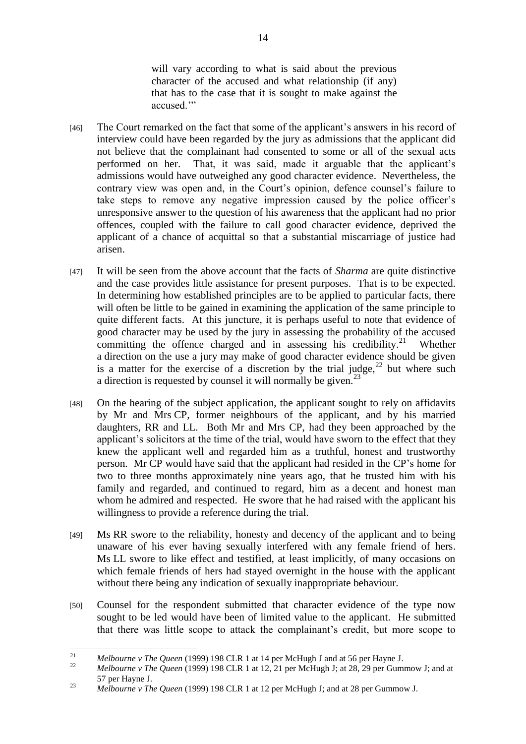will vary according to what is said about the previous character of the accused and what relationship (if any) that has to the case that it is sought to make against the accused "

- [46] The Court remarked on the fact that some of the applicant's answers in his record of interview could have been regarded by the jury as admissions that the applicant did not believe that the complainant had consented to some or all of the sexual acts performed on her. That, it was said, made it arguable that the applicant's admissions would have outweighed any good character evidence. Nevertheless, the contrary view was open and, in the Court's opinion, defence counsel's failure to take steps to remove any negative impression caused by the police officer's unresponsive answer to the question of his awareness that the applicant had no prior offences, coupled with the failure to call good character evidence, deprived the applicant of a chance of acquittal so that a substantial miscarriage of justice had arisen.
- [47] It will be seen from the above account that the facts of *Sharma* are quite distinctive and the case provides little assistance for present purposes. That is to be expected. In determining how established principles are to be applied to particular facts, there will often be little to be gained in examining the application of the same principle to quite different facts. At this juncture, it is perhaps useful to note that evidence of good character may be used by the jury in assessing the probability of the accused committing the offence charged and in assessing his credibility.<sup>21</sup> Whether a direction on the use a jury may make of good character evidence should be given is a matter for the exercise of a discretion by the trial judge,  $2^2$  but where such a direction is requested by counsel it will normally be given.<sup>23</sup>
- [48] On the hearing of the subject application, the applicant sought to rely on affidavits by Mr and Mrs CP, former neighbours of the applicant, and by his married daughters, RR and LL. Both Mr and Mrs CP, had they been approached by the applicant's solicitors at the time of the trial, would have sworn to the effect that they knew the applicant well and regarded him as a truthful, honest and trustworthy person. Mr CP would have said that the applicant had resided in the CP's home for two to three months approximately nine years ago, that he trusted him with his family and regarded, and continued to regard, him as a decent and honest man whom he admired and respected. He swore that he had raised with the applicant his willingness to provide a reference during the trial.
- [49] Ms RR swore to the reliability, honesty and decency of the applicant and to being unaware of his ever having sexually interfered with any female friend of hers. Ms LL swore to like effect and testified, at least implicitly, of many occasions on which female friends of hers had stayed overnight in the house with the applicant without there being any indication of sexually inappropriate behaviour.
- [50] Counsel for the respondent submitted that character evidence of the type now sought to be led would have been of limited value to the applicant. He submitted that there was little scope to attack the complainant's credit, but more scope to

 $21$ <sup>21</sup> *Melbourne v The Queen* (1999) 198 CLR 1 at 14 per McHugh J and at 56 per Hayne J.

<sup>22</sup> *Melbourne v The Queen* (1999) 198 CLR 1 at 12, 21 per McHugh J; at 28, 29 per Gummow J; and at 57 per Hayne J.

<sup>23</sup> *Melbourne v The Queen* (1999) 198 CLR 1 at 12 per McHugh J; and at 28 per Gummow J.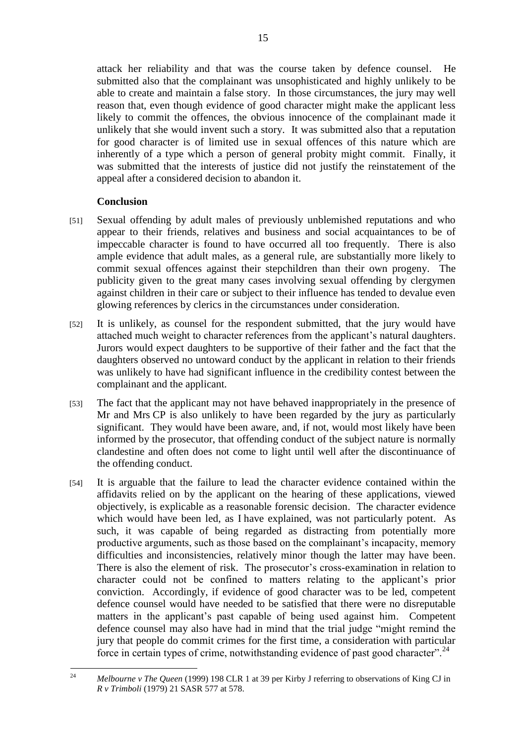attack her reliability and that was the course taken by defence counsel. He submitted also that the complainant was unsophisticated and highly unlikely to be able to create and maintain a false story. In those circumstances, the jury may well reason that, even though evidence of good character might make the applicant less likely to commit the offences, the obvious innocence of the complainant made it unlikely that she would invent such a story. It was submitted also that a reputation for good character is of limited use in sexual offences of this nature which are inherently of a type which a person of general probity might commit. Finally, it was submitted that the interests of justice did not justify the reinstatement of the appeal after a considered decision to abandon it.

#### **Conclusion**

- [51] Sexual offending by adult males of previously unblemished reputations and who appear to their friends, relatives and business and social acquaintances to be of impeccable character is found to have occurred all too frequently. There is also ample evidence that adult males, as a general rule, are substantially more likely to commit sexual offences against their stepchildren than their own progeny. The publicity given to the great many cases involving sexual offending by clergymen against children in their care or subject to their influence has tended to devalue even glowing references by clerics in the circumstances under consideration.
- [52] It is unlikely, as counsel for the respondent submitted, that the jury would have attached much weight to character references from the applicant's natural daughters. Jurors would expect daughters to be supportive of their father and the fact that the daughters observed no untoward conduct by the applicant in relation to their friends was unlikely to have had significant influence in the credibility contest between the complainant and the applicant.
- [53] The fact that the applicant may not have behaved inappropriately in the presence of Mr and Mrs CP is also unlikely to have been regarded by the jury as particularly significant. They would have been aware, and, if not, would most likely have been informed by the prosecutor, that offending conduct of the subject nature is normally clandestine and often does not come to light until well after the discontinuance of the offending conduct.
- [54] It is arguable that the failure to lead the character evidence contained within the affidavits relied on by the applicant on the hearing of these applications, viewed objectively, is explicable as a reasonable forensic decision. The character evidence which would have been led, as I have explained, was not particularly potent. As such, it was capable of being regarded as distracting from potentially more productive arguments, such as those based on the complainant's incapacity, memory difficulties and inconsistencies, relatively minor though the latter may have been. There is also the element of risk. The prosecutor's cross-examination in relation to character could not be confined to matters relating to the applicant's prior conviction. Accordingly, if evidence of good character was to be led, competent defence counsel would have needed to be satisfied that there were no disreputable matters in the applicant's past capable of being used against him. Competent defence counsel may also have had in mind that the trial judge "might remind the jury that people do commit crimes for the first time, a consideration with particular force in certain types of crime, notwithstanding evidence of past good character".<sup>24</sup>

<sup>24</sup> <sup>24</sup> *Melbourne v The Queen* (1999) 198 CLR 1 at 39 per Kirby J referring to observations of King CJ in *R v Trimboli* (1979) 21 SASR 577 at 578.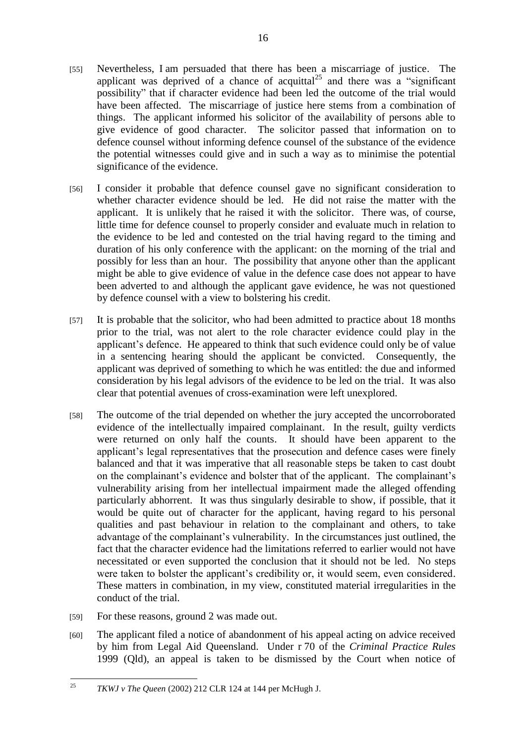- [55] Nevertheless, I am persuaded that there has been a miscarriage of justice. The applicant was deprived of a chance of acquittal<sup>25</sup> and there was a "significant" possibility" that if character evidence had been led the outcome of the trial would have been affected. The miscarriage of justice here stems from a combination of things. The applicant informed his solicitor of the availability of persons able to give evidence of good character. The solicitor passed that information on to defence counsel without informing defence counsel of the substance of the evidence the potential witnesses could give and in such a way as to minimise the potential significance of the evidence.
- [56] I consider it probable that defence counsel gave no significant consideration to whether character evidence should be led. He did not raise the matter with the applicant. It is unlikely that he raised it with the solicitor. There was, of course, little time for defence counsel to properly consider and evaluate much in relation to the evidence to be led and contested on the trial having regard to the timing and duration of his only conference with the applicant: on the morning of the trial and possibly for less than an hour. The possibility that anyone other than the applicant might be able to give evidence of value in the defence case does not appear to have been adverted to and although the applicant gave evidence, he was not questioned by defence counsel with a view to bolstering his credit.
- [57] It is probable that the solicitor, who had been admitted to practice about 18 months prior to the trial, was not alert to the role character evidence could play in the applicant's defence. He appeared to think that such evidence could only be of value in a sentencing hearing should the applicant be convicted. Consequently, the applicant was deprived of something to which he was entitled: the due and informed consideration by his legal advisors of the evidence to be led on the trial. It was also clear that potential avenues of cross-examination were left unexplored.
- [58] The outcome of the trial depended on whether the jury accepted the uncorroborated evidence of the intellectually impaired complainant. In the result, guilty verdicts were returned on only half the counts. It should have been apparent to the applicant's legal representatives that the prosecution and defence cases were finely balanced and that it was imperative that all reasonable steps be taken to cast doubt on the complainant's evidence and bolster that of the applicant. The complainant's vulnerability arising from her intellectual impairment made the alleged offending particularly abhorrent. It was thus singularly desirable to show, if possible, that it would be quite out of character for the applicant, having regard to his personal qualities and past behaviour in relation to the complainant and others, to take advantage of the complainant's vulnerability. In the circumstances just outlined, the fact that the character evidence had the limitations referred to earlier would not have necessitated or even supported the conclusion that it should not be led. No steps were taken to bolster the applicant's credibility or, it would seem, even considered. These matters in combination, in my view, constituted material irregularities in the conduct of the trial.
- [59] For these reasons, ground 2 was made out.
- [60] The applicant filed a notice of abandonment of his appeal acting on advice received by him from Legal Aid Queensland. Under r 70 of the *Criminal Practice Rules*  1999 (Qld), an appeal is taken to be dismissed by the Court when notice of

 $25$ <sup>25</sup> *TKWJ v The Queen* (2002) 212 CLR 124 at 144 per McHugh J.